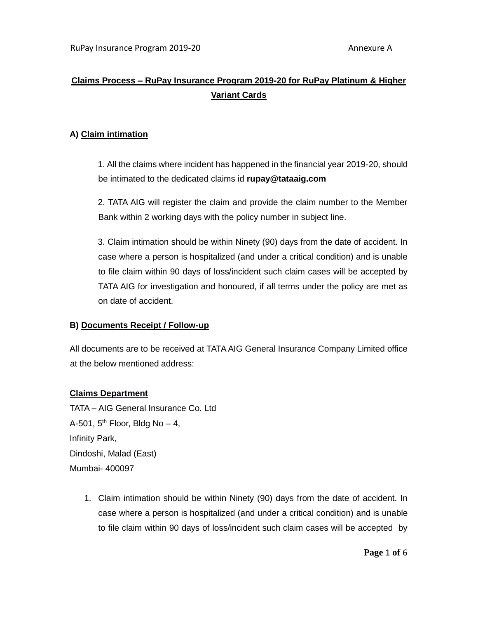# **Claims Process – RuPay Insurance Program 2019-20 for RuPay Platinum & Higher Variant Cards**

### **A) Claim intimation**

1. All the claims where incident has happened in the financial year 2019-20, should be intimated to the dedicated claims id **rupay@tataaig.com**

2. TATA AIG will register the claim and provide the claim number to the Member Bank within 2 working days with the policy number in subject line.

3. Claim intimation should be within Ninety (90) days from the date of accident. In case where a person is hospitalized (and under a critical condition) and is unable to file claim within 90 days of loss/incident such claim cases will be accepted by TATA AIG for investigation and honoured, if all terms under the policy are met as on date of accident.

#### **B) Documents Receipt / Follow-up**

All documents are to be received at TATA AIG General Insurance Company Limited office at the below mentioned address:

#### **Claims Department**

TATA – AIG General Insurance Co. Ltd A-501,  $5<sup>th</sup>$  Floor, Bldg No  $-4$ , Infinity Park, Dindoshi, Malad (East) Mumbai- 400097

> 1. Claim intimation should be within Ninety (90) days from the date of accident. In case where a person is hospitalized (and under a critical condition) and is unable to file claim within 90 days of loss/incident such claim cases will be accepted by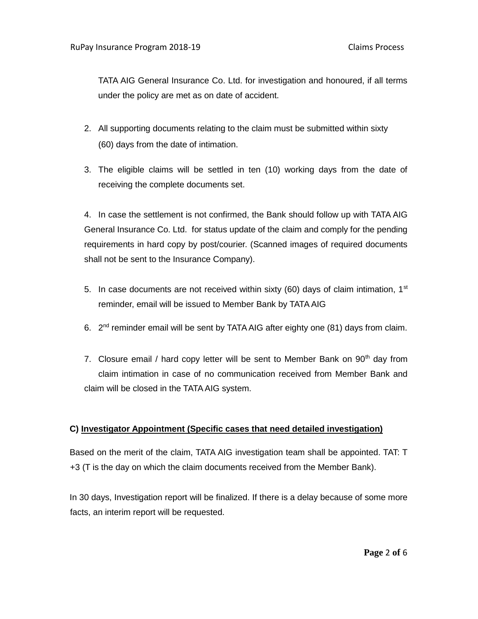TATA AIG General Insurance Co. Ltd. for investigation and honoured, if all terms under the policy are met as on date of accident.

- 2. All supporting documents relating to the claim must be submitted within sixty (60) days from the date of intimation.
- 3. The eligible claims will be settled in ten (10) working days from the date of receiving the complete documents set.

4. In case the settlement is not confirmed, the Bank should follow up with TATA AIG General Insurance Co. Ltd. for status update of the claim and comply for the pending requirements in hard copy by post/courier. (Scanned images of required documents shall not be sent to the Insurance Company).

- 5. In case documents are not received within sixty (60) days of claim intimation,  $1<sup>st</sup>$ reminder, email will be issued to Member Bank by TATA AIG
- 6.  $2^{nd}$  reminder email will be sent by TATA AIG after eighty one (81) days from claim.
- 7. Closure email / hard copy letter will be sent to Member Bank on  $90<sup>th</sup>$  day from claim intimation in case of no communication received from Member Bank and claim will be closed in the TATA AIG system.

## **C) Investigator Appointment (Specific cases that need detailed investigation)**

Based on the merit of the claim, TATA AIG investigation team shall be appointed. TAT: T +3 (T is the day on which the claim documents received from the Member Bank).

In 30 days, Investigation report will be finalized. If there is a delay because of some more facts, an interim report will be requested.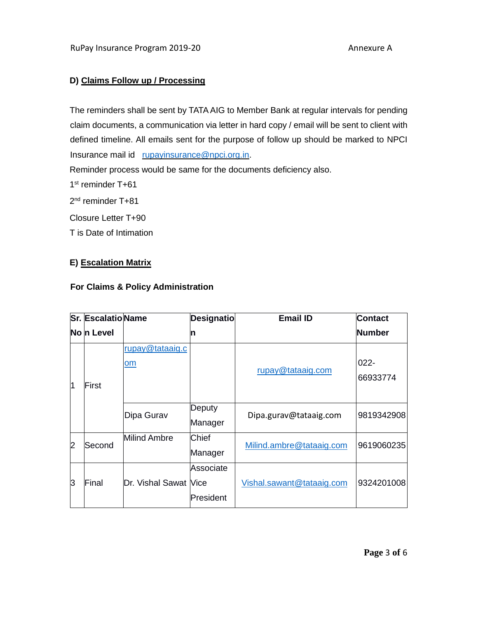# **D) Claims Follow up / Processing**

The reminders shall be sent by TATA AIG to Member Bank at regular intervals for pending claim documents, a communication via letter in hard copy / email will be sent to client with defined timeline. All emails sent for the purpose of follow up should be marked to NPCI Insurance mail id [rupayinsurance@npci.org.in.](mailto:rupayinsurance@npci.org.in)

Reminder process would be same for the documents deficiency also.

1<sup>st</sup> reminder T+61

2<sup>nd</sup> reminder T+81

Closure Letter T+90

T is Date of Intimation

#### **E) Escalation Matrix**

#### **For Claims & Policy Administration**

|                | <b>Sr. EscalatioName</b> |                       | <b>Designatio</b>      | <b>Email ID</b>           | <b>Contact</b>      |
|----------------|--------------------------|-----------------------|------------------------|---------------------------|---------------------|
|                | No n Level               |                       | n                      |                           | <b>Number</b>       |
| $\overline{1}$ | lFirst                   | rupay@tataaig.c<br>om |                        | rupay@tataaig.com         | $022 -$<br>66933774 |
|                |                          | Dipa Gurav            | Deputy<br>Manager      | Dipa.gurav@tataaig.com    | 9819342908          |
| $\overline{2}$ | Second                   | <b>Milind Ambre</b>   | Chief<br>Manager       | Milind.ambre@tataaig.com  | 9619060235          |
| l3             | Final                    | Dr. Vishal Sawat Nice | Associate<br>President | Vishal.sawant@tataaig.com | 9324201008          |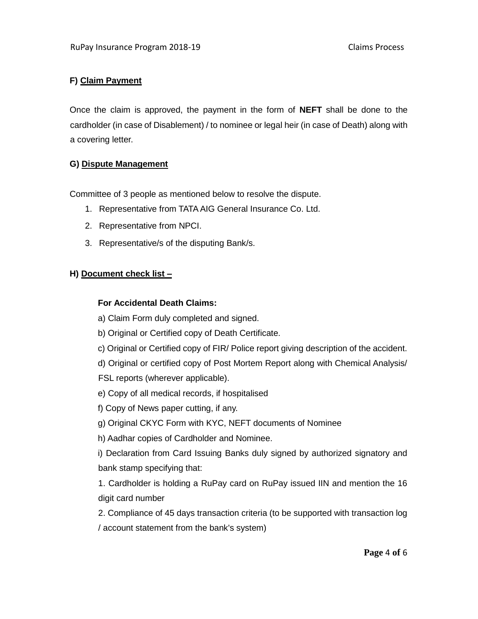# **F) Claim Payment**

Once the claim is approved, the payment in the form of **NEFT** shall be done to the cardholder (in case of Disablement) / to nominee or legal heir (in case of Death) along with a covering letter.

### **G) Dispute Management**

Committee of 3 people as mentioned below to resolve the dispute.

- 1. Representative from TATA AIG General Insurance Co. Ltd.
- 2. Representative from NPCI.
- 3. Representative/s of the disputing Bank/s.

## **H) Document check list –**

## **For Accidental Death Claims:**

- a) Claim Form duly completed and signed.
- b) Original or Certified copy of Death Certificate.
- c) Original or Certified copy of FIR/ Police report giving description of the accident.
- d) Original or certified copy of Post Mortem Report along with Chemical Analysis/
- FSL reports (wherever applicable).
- e) Copy of all medical records, if hospitalised
- f) Copy of News paper cutting, if any.
- g) Original CKYC Form with KYC, NEFT documents of Nominee
- h) Aadhar copies of Cardholder and Nominee.

i) Declaration from Card Issuing Banks duly signed by authorized signatory and bank stamp specifying that:

1. Cardholder is holding a RuPay card on RuPay issued IIN and mention the 16 digit card number

2. Compliance of 45 days transaction criteria (to be supported with transaction log / account statement from the bank's system)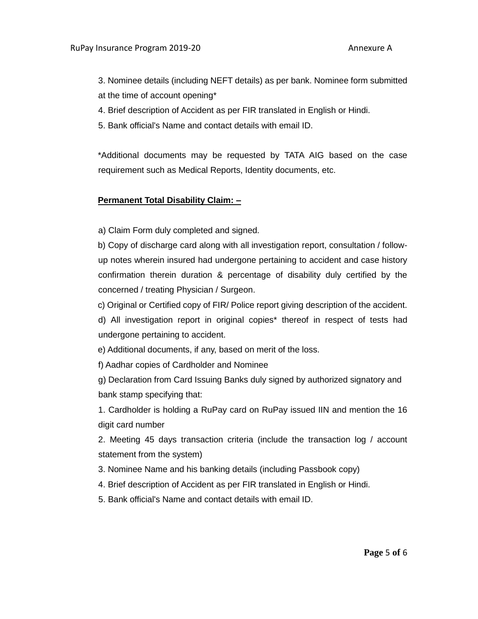3. Nominee details (including NEFT details) as per bank. Nominee form submitted at the time of account opening\*

- 4. Brief description of Accident as per FIR translated in English or Hindi.
- 5. Bank official's Name and contact details with email ID.

\*Additional documents may be requested by TATA AIG based on the case requirement such as Medical Reports, Identity documents, etc.

### **Permanent Total Disability Claim: –**

a) Claim Form duly completed and signed.

b) Copy of discharge card along with all investigation report, consultation / followup notes wherein insured had undergone pertaining to accident and case history confirmation therein duration & percentage of disability duly certified by the concerned / treating Physician / Surgeon.

c) Original or Certified copy of FIR/ Police report giving description of the accident.

d) All investigation report in original copies\* thereof in respect of tests had undergone pertaining to accident.

e) Additional documents, if any, based on merit of the loss.

f) Aadhar copies of Cardholder and Nominee

g) Declaration from Card Issuing Banks duly signed by authorized signatory and bank stamp specifying that:

1. Cardholder is holding a RuPay card on RuPay issued IIN and mention the 16 digit card number

2. Meeting 45 days transaction criteria (include the transaction log / account statement from the system)

- 3. Nominee Name and his banking details (including Passbook copy)
- 4. Brief description of Accident as per FIR translated in English or Hindi.
- 5. Bank official's Name and contact details with email ID.